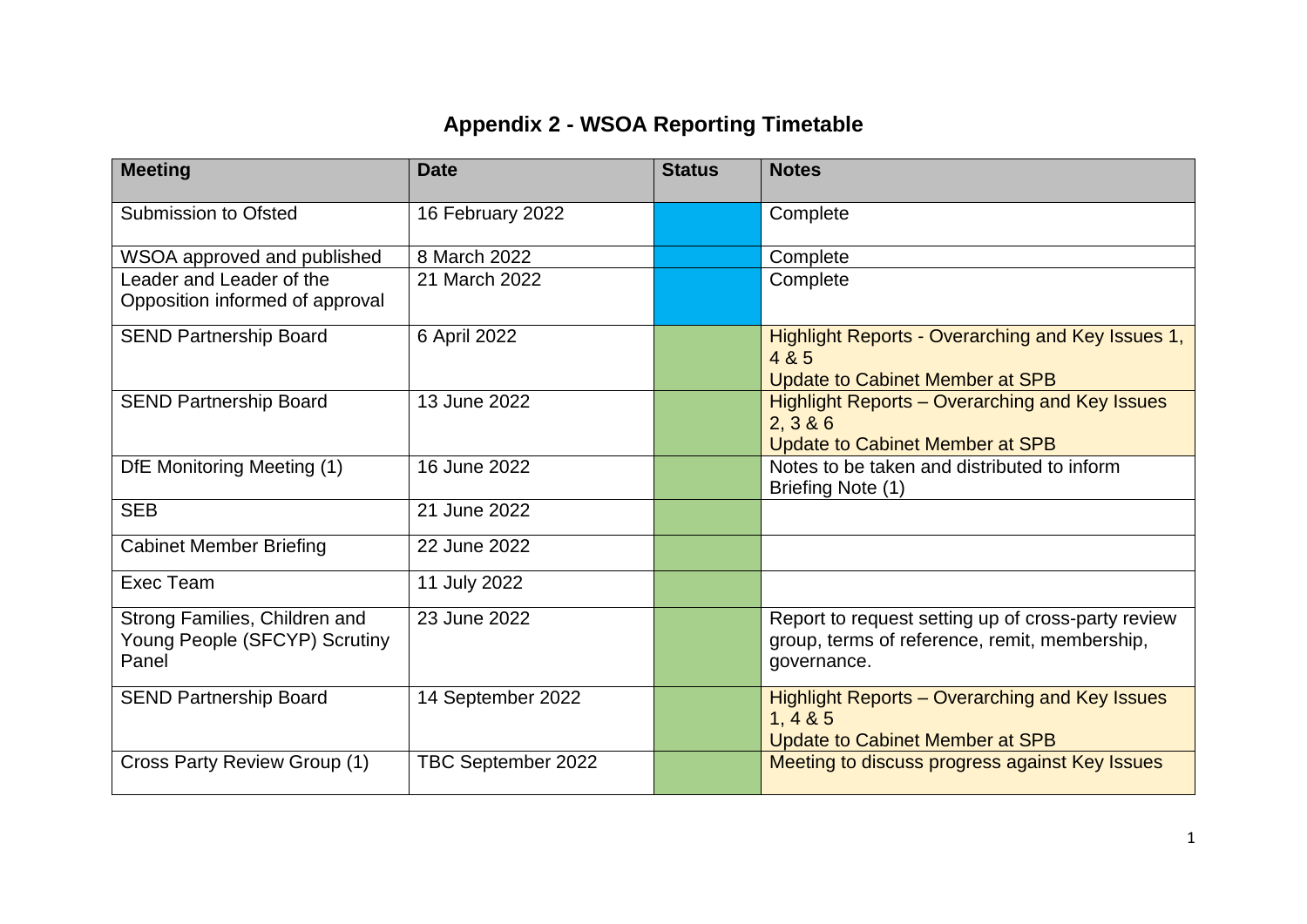## **Appendix 2 - WSOA Reporting Timetable**

| <b>Meeting</b>                                                          | <b>Date</b>        | <b>Status</b> | <b>Notes</b>                                                                                                       |
|-------------------------------------------------------------------------|--------------------|---------------|--------------------------------------------------------------------------------------------------------------------|
| <b>Submission to Ofsted</b>                                             | 16 February 2022   |               | Complete                                                                                                           |
| WSOA approved and published                                             | 8 March 2022       |               | Complete                                                                                                           |
| Leader and Leader of the<br>Opposition informed of approval             | 21 March 2022      |               | Complete                                                                                                           |
| <b>SEND Partnership Board</b>                                           | 6 April 2022       |               | Highlight Reports - Overarching and Key Issues 1,<br>4 & 5<br><b>Update to Cabinet Member at SPB</b>               |
| <b>SEND Partnership Board</b>                                           | 13 June 2022       |               | <b>Highlight Reports - Overarching and Key Issues</b><br>2, 3 & 6<br><b>Update to Cabinet Member at SPB</b>        |
| DfE Monitoring Meeting (1)                                              | 16 June 2022       |               | Notes to be taken and distributed to inform<br>Briefing Note (1)                                                   |
| <b>SEB</b>                                                              | 21 June 2022       |               |                                                                                                                    |
| <b>Cabinet Member Briefing</b>                                          | 22 June 2022       |               |                                                                                                                    |
| Exec Team                                                               | 11 July 2022       |               |                                                                                                                    |
| Strong Families, Children and<br>Young People (SFCYP) Scrutiny<br>Panel | 23 June 2022       |               | Report to request setting up of cross-party review<br>group, terms of reference, remit, membership,<br>governance. |
| <b>SEND Partnership Board</b>                                           | 14 September 2022  |               | Highlight Reports – Overarching and Key Issues<br>1, 4 & 85<br><b>Update to Cabinet Member at SPB</b>              |
| Cross Party Review Group (1)                                            | TBC September 2022 |               | Meeting to discuss progress against Key Issues                                                                     |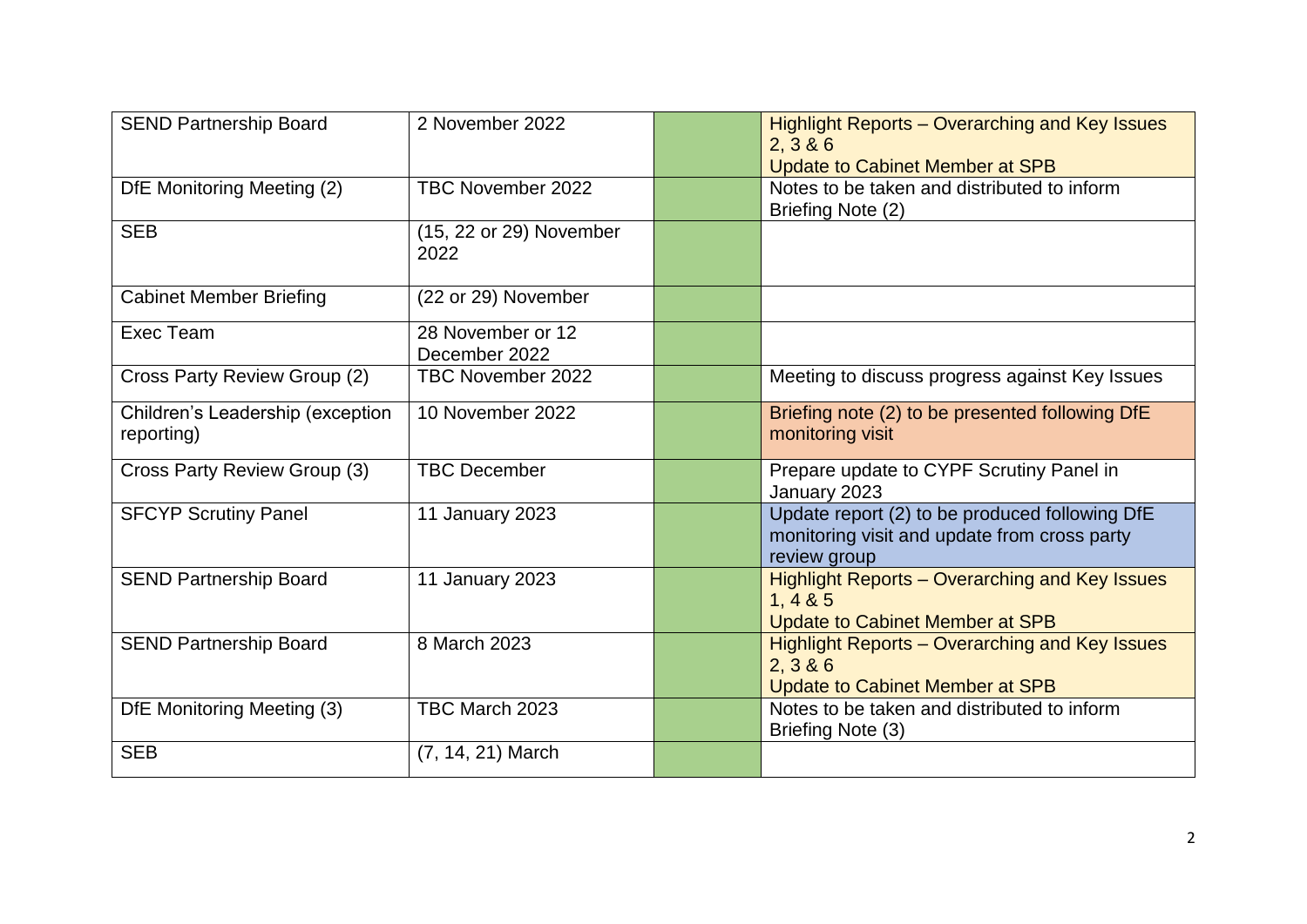| <b>SEND Partnership Board</b>                  | 2 November 2022                    | <b>Highlight Reports - Overarching and Key Issues</b><br>2, 3 & 6<br><b>Update to Cabinet Member at SPB</b>    |
|------------------------------------------------|------------------------------------|----------------------------------------------------------------------------------------------------------------|
| DfE Monitoring Meeting (2)                     | TBC November 2022                  | Notes to be taken and distributed to inform<br>Briefing Note (2)                                               |
| <b>SEB</b>                                     | (15, 22 or 29) November<br>2022    |                                                                                                                |
| <b>Cabinet Member Briefing</b>                 | (22 or 29) November                |                                                                                                                |
| Exec Team                                      | 28 November or 12<br>December 2022 |                                                                                                                |
| Cross Party Review Group (2)                   | TBC November 2022                  | Meeting to discuss progress against Key Issues                                                                 |
| Children's Leadership (exception<br>reporting) | 10 November 2022                   | Briefing note (2) to be presented following DfE<br>monitoring visit                                            |
| Cross Party Review Group (3)                   | <b>TBC December</b>                | Prepare update to CYPF Scrutiny Panel in<br>January 2023                                                       |
| <b>SFCYP Scrutiny Panel</b>                    | 11 January 2023                    | Update report (2) to be produced following DfE<br>monitoring visit and update from cross party<br>review group |
| <b>SEND Partnership Board</b>                  | 11 January 2023                    | <b>Highlight Reports - Overarching and Key Issues</b><br>1, 485<br><b>Update to Cabinet Member at SPB</b>      |
| <b>SEND Partnership Board</b>                  | 8 March 2023                       | Highlight Reports - Overarching and Key Issues<br>2, 3 & 6<br><b>Update to Cabinet Member at SPB</b>           |
| DfE Monitoring Meeting (3)                     | TBC March 2023                     | Notes to be taken and distributed to inform<br>Briefing Note (3)                                               |
| <b>SEB</b>                                     | $(7, 14, 21)$ March                |                                                                                                                |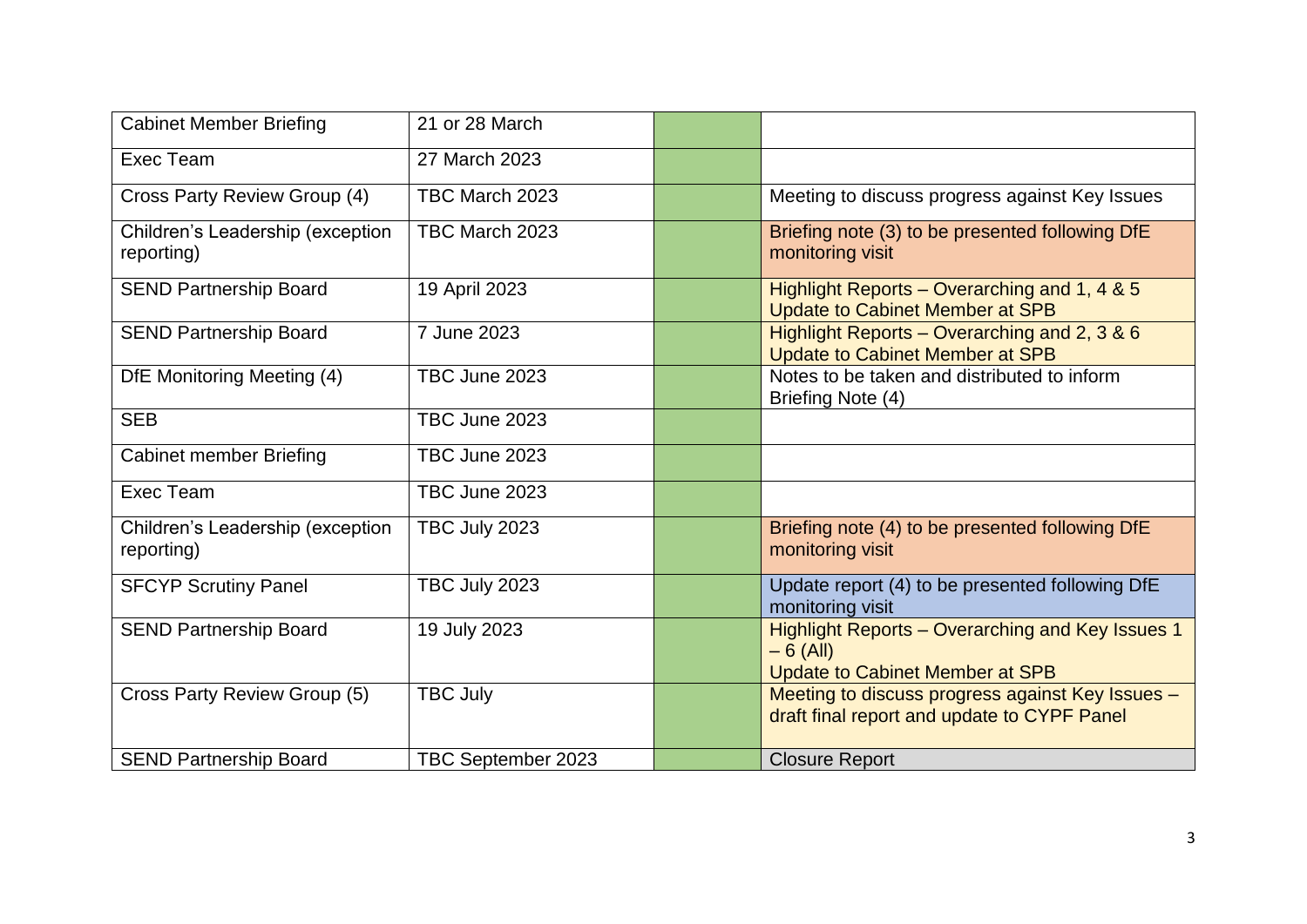| <b>Cabinet Member Briefing</b>                 | 21 or 28 March     |                                                                                                          |
|------------------------------------------------|--------------------|----------------------------------------------------------------------------------------------------------|
| Exec Team                                      | 27 March 2023      |                                                                                                          |
| Cross Party Review Group (4)                   | TBC March 2023     | Meeting to discuss progress against Key Issues                                                           |
| Children's Leadership (exception<br>reporting) | TBC March 2023     | Briefing note (3) to be presented following DfE<br>monitoring visit                                      |
| <b>SEND Partnership Board</b>                  | 19 April 2023      | Highlight Reports – Overarching and 1, 4 & 5<br><b>Update to Cabinet Member at SPB</b>                   |
| <b>SEND Partnership Board</b>                  | 7 June 2023        | Highlight Reports – Overarching and 2, 3 & 6<br><b>Update to Cabinet Member at SPB</b>                   |
| DfE Monitoring Meeting (4)                     | TBC June 2023      | Notes to be taken and distributed to inform<br>Briefing Note (4)                                         |
| <b>SEB</b>                                     | TBC June 2023      |                                                                                                          |
| <b>Cabinet member Briefing</b>                 | TBC June 2023      |                                                                                                          |
| Exec Team                                      | TBC June 2023      |                                                                                                          |
| Children's Leadership (exception<br>reporting) | TBC July 2023      | Briefing note (4) to be presented following DfE<br>monitoring visit                                      |
| <b>SFCYP Scrutiny Panel</b>                    | TBC July 2023      | Update report (4) to be presented following DfE<br>monitoring visit                                      |
| <b>SEND Partnership Board</b>                  | 19 July 2023       | Highlight Reports - Overarching and Key Issues 1<br>$-6$ (All)<br><b>Update to Cabinet Member at SPB</b> |
| Cross Party Review Group (5)                   | <b>TBC July</b>    | Meeting to discuss progress against Key Issues -<br>draft final report and update to CYPF Panel          |
| <b>SEND Partnership Board</b>                  | TBC September 2023 | <b>Closure Report</b>                                                                                    |